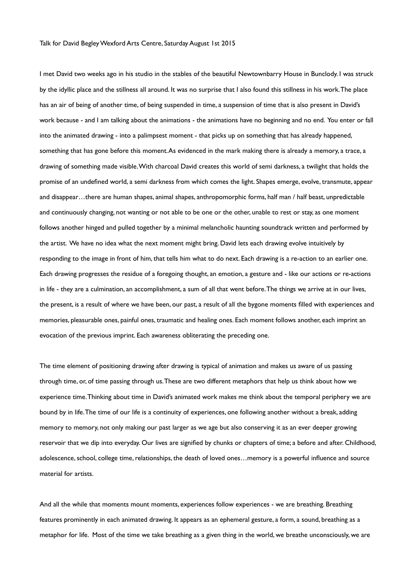I met David two weeks ago in his studio in the stables of the beautiful Newtownbarry House in Bunclody. I was struck by the idyllic place and the stillness all around. It was no surprise that I also found this stillness in his work. The place has an air of being of another time, of being suspended in time, a suspension of time that is also present in David's work because - and I am talking about the animations - the animations have no beginning and no end. You enter or fall into the animated drawing - into a palimpsest moment - that picks up on something that has already happened, something that has gone before this moment. As evidenced in the mark making there is already a memory, a trace, a drawing of something made visible. With charcoal David creates this world of semi darkness, a twilight that holds the promise of an undefined world, a semi darkness from which comes the light. Shapes emerge, evolve, transmute, appear and disappear…there are human shapes, animal shapes, anthropomorphic forms, half man / half beast, unpredictable and continuously changing, not wanting or not able to be one or the other, unable to rest or stay, as one moment follows another hinged and pulled together by a minimal melancholic haunting soundtrack written and performed by the artist. We have no idea what the next moment might bring. David lets each drawing evolve intuitively by responding to the image in front of him, that tells him what to do next. Each drawing is a re-action to an earlier one. Each drawing progresses the residue of a foregoing thought, an emotion, a gesture and - like our actions or re-actions in life - they are a culmination, an accomplishment, a sum of all that went before. The things we arrive at in our lives, the present, is a result of where we have been, our past, a result of all the bygone moments filled with experiences and memories, pleasurable ones, painful ones, traumatic and healing ones. Each moment follows another, each imprint an evocation of the previous imprint. Each awareness obliterating the preceding one.

The time element of positioning drawing after drawing is typical of animation and makes us aware of us passing through time, or, of time passing through us. These are two different metaphors that help us think about how we experience time. Thinking about time in David's animated work makes me think about the temporal periphery we are bound by in life. The time of our life is a continuity of experiences, one following another without a break, adding memory to memory, not only making our past larger as we age but also conserving it as an ever deeper growing reservoir that we dip into everyday. Our lives are signified by chunks or chapters of time; a before and after. Childhood, adolescence, school, college time, relationships, the death of loved ones…memory is a powerful influence and source material for artists.

And all the while that moments mount moments, experiences follow experiences - we are breathing. Breathing features prominently in each animated drawing. It appears as an ephemeral gesture, a form, a sound, breathing as a metaphor for life. Most of the time we take breathing as a given thing in the world, we breathe unconsciously, we are